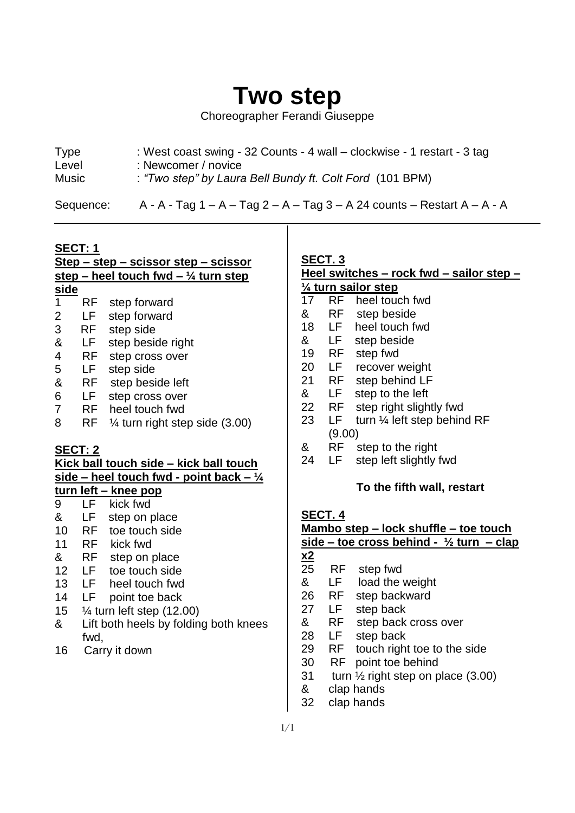# **Two step**

Choreographer Ferandi Giuseppe

| <b>Type</b>  | : West coast swing - 32 Counts - 4 wall – clockwise - 1 restart - 3 tag |
|--------------|-------------------------------------------------------------------------|
| Level        | : Newcomer / novice                                                     |
| <b>Music</b> | : "Two step" by Laura Bell Bundy ft. Colt Ford (101 BPM)                |

Sequence:  $A - A - Tag 1 - A - Tag 2 - A - Tag 3 - A 24 counts - Restart A - A - A$ 

#### **SECT: 1**

 $\overline{a}$ 

|                                                                                              | <u> Step – step – scissor step – scissor</u> |                                           |  |  |  |  |
|----------------------------------------------------------------------------------------------|----------------------------------------------|-------------------------------------------|--|--|--|--|
| <u>step – heel touch fwd – <math>\frac{1}{4}</math> turn step</u>                            |                                              |                                           |  |  |  |  |
| side                                                                                         |                                              |                                           |  |  |  |  |
| 1                                                                                            | RF                                           | step forward                              |  |  |  |  |
| $\overline{2}$                                                                               | LF.                                          | step forward                              |  |  |  |  |
| 3                                                                                            | RF                                           | step side                                 |  |  |  |  |
| &                                                                                            | LF                                           | step beside right                         |  |  |  |  |
| $\overline{\mathbf{4}}$                                                                      | <b>RF</b>                                    | step cross over                           |  |  |  |  |
| 5                                                                                            | LF .                                         | step side                                 |  |  |  |  |
| &                                                                                            | RF                                           | step beside left                          |  |  |  |  |
| 6                                                                                            | LF .                                         | step cross over                           |  |  |  |  |
| $\overline{7}$                                                                               | RF                                           | heel touch fwd                            |  |  |  |  |
| 8                                                                                            | RF                                           | $\frac{1}{4}$ turn right step side (3.00) |  |  |  |  |
|                                                                                              | SECT: 2                                      |                                           |  |  |  |  |
|                                                                                              |                                              |                                           |  |  |  |  |
| Kick ball touch side – kick ball touch                                                       |                                              |                                           |  |  |  |  |
| <u>side – heel touch fwd - point back – <math>\frac{1}{4}</math></u><br>turn left – knee pop |                                              |                                           |  |  |  |  |
|                                                                                              |                                              |                                           |  |  |  |  |
| 9                                                                                            | LF                                           | kick fwd                                  |  |  |  |  |
| &                                                                                            | LF                                           | step on place                             |  |  |  |  |
| 10                                                                                           | <b>RF</b>                                    | toe touch side                            |  |  |  |  |
| 11                                                                                           | RF                                           | kick fwd                                  |  |  |  |  |
| &                                                                                            | RF                                           | step on place                             |  |  |  |  |

- 12 LF toe touch side
- 13 LF heel touch fwd
- 14 LF point toe back
- 15 ¼ turn left step (12.00)
- & Lift both heels by folding both knees fwd,
- 16 Carry it down

## **SECT. 3**

#### **Heel switches – rock fwd – sailor step – ¼ turn sailor step**

- 17 RF heel touch fwd
- & RF step beside
- 18 LF heel touch fwd
- & LF step beside
- 19 RF step fwd
- 20 LF recover weight
- 21 RF step behind LF
- & LF step to the left
- 22 RF step right slightly fwd
- 23 LF turn ¼ left step behind RF (9.00)
- & RF step to the right
- 24 LF step left slightly fwd

#### **To the fifth wall, restart**

## **SECT. 4**

#### **Mambo step – lock shuffle – toe touch side – toe cross behind - ½ turn – clap**

- $\frac{\mathbf{x2}}{25}$
- RF step fwd
- & LF load the weight
- 26 RF step backward
- 27 LF step back
- & RF step back cross over
- 28 LF step back
- 29 RF touch right toe to the side
- 30 RF point toe behind
- 31 turn ½ right step on place (3.00)
- & clap hands
- 32 clap hands